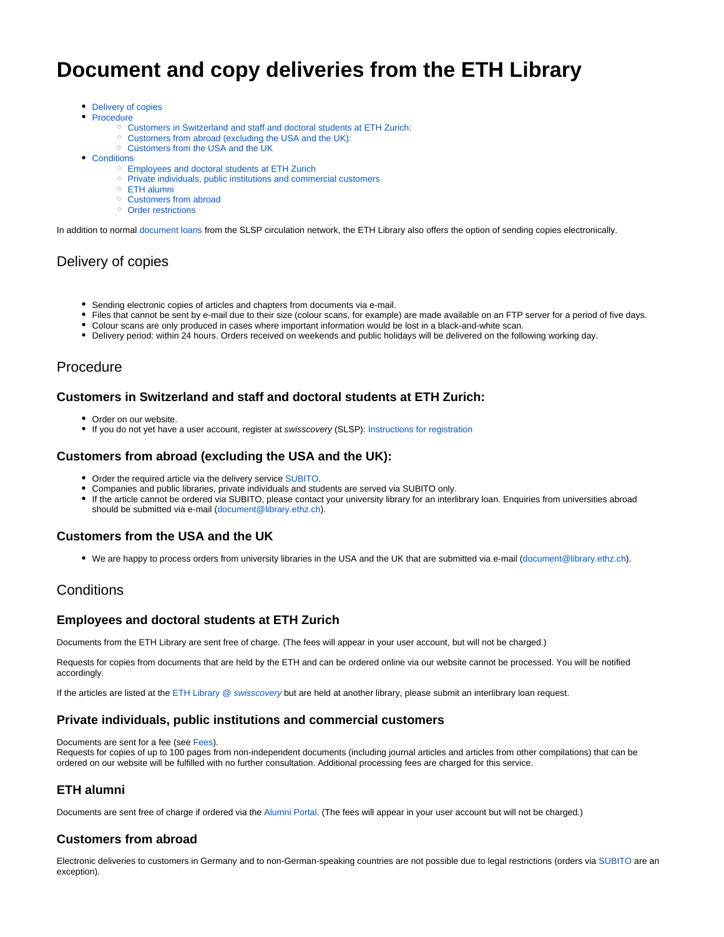# **Document and copy deliveries from the ETH Library**

- [Delivery of copies](#page-0-0)
- [Procedure](#page-0-1)
	- [Customers in Switzerland and staff and doctoral students at ETH Zurich:](#page-0-2)
	- <sup>o</sup> [Customers from abroad \(excluding the USA and the UK\):](#page-0-3)
	- <sup>o</sup> [Customers from the USA and the UK](#page-0-4)
- [Conditions](#page-0-5)
	- [Employees and doctoral students at ETH Zurich](#page-0-6)
	- <sup>o</sup> [Private individuals, public institutions and commercial customers](#page-0-7)
	- [ETH alumni](#page-0-8)
	- [Customers from abroad](#page-0-9)
	- <sup>o</sup> [Order restrictions](#page-1-0)

In addition to normal [document loans](https://documentation.library.ethz.ch/pages/viewpage.action?pageId=51576836) from the SLSP circulation network, the ETH Library also offers the option of sending copies electronically.

# <span id="page-0-0"></span>Delivery of copies

- Sending electronic copies of articles and chapters from documents via e-mail.
- Files that cannot be sent by e-mail due to their size (colour scans, for example) are made available on an FTP server for a period of five days.
- Colour scans are only produced in cases where important information would be lost in a black-and-white scan.
- Delivery period: within 24 hours. Orders received on weekends and public holidays will be delivered on the following working day.

## <span id="page-0-1"></span>Procedure

#### <span id="page-0-2"></span>**Customers in Switzerland and staff and doctoral students at ETH Zurich:**

- Order on our website.
- If you do not yet have a user account, register at swisscovery (SLSP): [Instructions for registration](https://library.ethz.ch/en/borrowing-and-ordering/searching-for-finding-and-using-media/swisscovery.html)

## <span id="page-0-3"></span>**Customers from abroad (excluding the USA and the UK):**

- Order the required article via the delivery service [SUBITO](https://m.subito-doc.de/?lang=en).
- Companies and public libraries, private individuals and students are served via SUBITO only.
- $\bullet$ If the article cannot be ordered via SUBITO, please contact your university library for an interlibrary loan. Enquiries from universities abroad should be submitted via e-mail ([document@library.ethz.ch](mailto:document@library.ethz.ch)).

## <span id="page-0-4"></span>**Customers from the USA and the UK**

We are happy to process orders from university libraries in the USA and the UK that are submitted via e-mail [\(document@library.ethz.ch\)](mailto:document@library.ethz.ch).

# <span id="page-0-5"></span>**Conditions**

#### <span id="page-0-6"></span>**Employees and doctoral students at ETH Zurich**

Documents from the ETH Library are sent free of charge. (The fees will appear in your user account, but will not be charged.)

Requests for copies from documents that are held by the ETH and can be ordered online via our website cannot be processed. You will be notified accordingly.

If the articles are listed at the [ETH Library @](https://eth.swisscovery.slsp.ch/discovery/search?vid=41SLSP_ETH:ETH&lang=en) swisscovery but are held at another library, please submit an interlibrary loan request.

## <span id="page-0-7"></span>**Private individuals, public institutions and commercial customers**

Documents are sent for a fee (see [Fees](https://documentation.library.ethz.ch/download/attachments/55902245/f_library_gebuehrenblatt_2020_de.pdf?version=1&modificationDate=1613485416940&api=v2)).

Requests for copies of up to 100 pages from non-independent documents (including journal articles and articles from other compilations) that can be ordered on our website will be fulfilled with no further consultation. Additional processing fees are charged for this service.

## <span id="page-0-8"></span>**ETH alumni**

Documents are sent free of charge if ordered via the [Alumni Portal](https://www.alumni.artkeymedia.com/index.php?page=login_block). (The fees will appear in your user account but will not be charged.)

## <span id="page-0-9"></span>**Customers from abroad**

Electronic deliveries to customers in Germany and to non-German-speaking countries are not possible due to legal restrictions (orders via [SUBITO](https://m.subito-doc.de/?lang=en) are an exception).